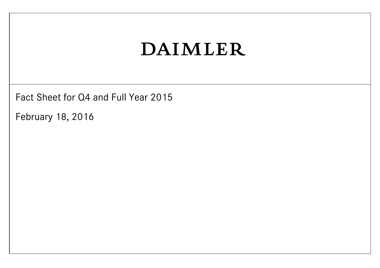Fact Sheet for Q4 and Full Year 2015

February 18, 2016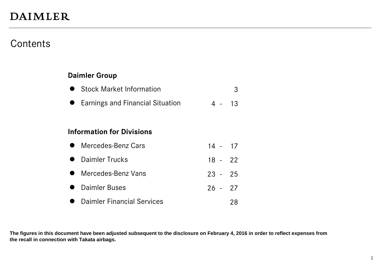#### **Contents**

#### **Daimler Group**

**Earnings and Financial Situation** 4 - 13

#### **Information for Divisions**

| • Mercedes-Benz Cars | $14 - 17$ |  |
|----------------------|-----------|--|
|                      |           |  |

- **Daimler Trucks** 18 22
- Mercedes-Benz Vans 23 25
- **Daimler Buses 26 27**
- **Daimler Financial Services** 28

**The figures in this document have been adjusted subsequent to the disclosure on February 4, 2016 in order to reflect expenses from the recall in connection with Takata airbags.**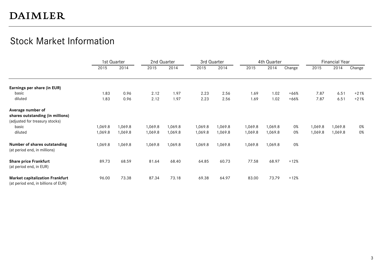#### Stock Market Information

|                                                                               |         | 1st Quarter | 2nd Quarter |         |         | 3rd Quarter |         | 4th Quarter |        |         | <b>Financial Year</b> |        |
|-------------------------------------------------------------------------------|---------|-------------|-------------|---------|---------|-------------|---------|-------------|--------|---------|-----------------------|--------|
|                                                                               | 2015    | 2014        | 2015        | 2014    | 2015    | 2014        | 2015    | 2014        | Change | 2015    | 2014                  | Change |
| Earnings per share (in EUR)                                                   |         |             |             |         |         |             |         |             |        |         |                       |        |
| basic                                                                         | 1.83    | 0.96        | 2.12        | 1.97    | 2.23    | 2.56        | 1.69    | 1.02        | $+66%$ | 7.87    | 6.51                  | $+21%$ |
| diluted                                                                       | 1.83    | 0.96        | 2.12        | 1.97    | 2.23    | 2.56        | 1.69    | 1.02        | $+66%$ | 7.87    | 6.51                  | $+21%$ |
| Average number of                                                             |         |             |             |         |         |             |         |             |        |         |                       |        |
| shares outstanding (in millions)<br>(adjusted for treasury stocks)            |         |             |             |         |         |             |         |             |        |         |                       |        |
| basic                                                                         | 1,069.8 | 1,069.8     | 1,069.8     | 1,069.8 | 1,069.8 | 1,069.8     | 1,069.8 | 1,069.8     | 0%     | 1,069.8 | 1,069.8               | 0%     |
| diluted                                                                       | 1,069.8 | 1,069.8     | 1,069.8     | 1,069.8 | 1,069.8 | 1,069.8     | 1,069.8 | 1,069.8     | 0%     | 1,069.8 | 1,069.8               | 0%     |
| Number of shares outstanding<br>(at period end, in millions)                  | 1,069.8 | 1,069.8     | 1,069.8     | 1,069.8 | 1,069.8 | 1,069.8     | 1,069.8 | 1,069.8     | 0%     |         |                       |        |
| <b>Share price Frankfurt</b><br>(at period end, in EUR)                       | 89.73   | 68.59       | 81.64       | 68.40   | 64.85   | 60.73       | 77.58   | 68.97       | $+12%$ |         |                       |        |
| <b>Market capitalization Frankfurt</b><br>(at period end, in billions of EUR) | 96.00   | 73.38       | 87.34       | 73.18   | 69.38   | 64.97       | 83.00   | 73.79       | $+12%$ |         |                       |        |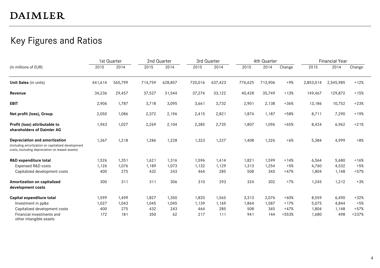#### Key Figures and Ratios

|                                                                                                                                        |         | 1st Quarter |         | 2nd Quarter |         | 3rd Quarter |         | 4th Quarter |        |           | <b>Financial Year</b> |         |
|----------------------------------------------------------------------------------------------------------------------------------------|---------|-------------|---------|-------------|---------|-------------|---------|-------------|--------|-----------|-----------------------|---------|
| (in millions of EUR)                                                                                                                   | 2015    | 2014        | 2015    | 2014        | 2015    | 2014        | 2015    | 2014        | Change | 2015      | 2014                  | Change  |
| Unit Sales (in units)                                                                                                                  | 641,614 | 565,799     | 714,759 | 628,857     | 720,016 | 637,423     | 776,625 | 713,906     | $+9%$  | 2,853,014 | 2,545,985             | $+12%$  |
| Revenue                                                                                                                                | 34,236  | 29,457      | 37,527  | 31,544      | 37,276  | 33,122      | 40,428  | 35,749      | $+13%$ | 149,467   | 129,872               | $+15%$  |
| <b>EBIT</b>                                                                                                                            | 2,906   | 1,787       | 3,718   | 3,095       | 3,661   | 3,732       | 2,901   | 2,138       | $+36%$ | 13,186    | 10,752                | $+23%$  |
| Net profit (loss), Group                                                                                                               | 2,050   | 1,086       | 2,372   | 2,196       | 2,415   | 2,821       | 1,874   | 1,187       | $+58%$ | 8,711     | 7,290                 | $+19%$  |
| Profit (loss) attributable to<br>shareholders of Daimler AG                                                                            | 1,963   | 1,027       | 2,269   | 2,104       | 2,385   | 2,735       | 1,807   | 1,096       | $+65%$ | 8,424     | 6,962                 | $+21%$  |
| Depreciation and amortization<br>(including amortization on capitalized development<br>costs, excluding depreciation on leased assets) | 1,367   | 1,218       | 1,286   | 1,228       | 1,323   | 1,227       | 1,408   | 1,326       | $+6%$  | 5,384     | 4,999                 | $+8%$   |
| <b>R&amp;D</b> expenditure total                                                                                                       | 1,526   | 1,351       | 1,621   | 1,316       | 1,596   | 1,414       | 1,821   | 1,599       | $+14%$ | 6,564     | 5,680                 | $+16%$  |
| Expensed R&D costs                                                                                                                     | 1,126   | 1,076       | 1,189   | 1,073       | 1,132   | 1,129       | 1,313   | 1,254       | $+5%$  | 4,760     | 4,532                 | $+5%$   |
| Capitalized development costs                                                                                                          | 400     | 275         | 432     | 243         | 464     | 285         | 508     | 345         | $+47%$ | 1,804     | 1,148                 | $+57%$  |
| Amortization on capitalized<br>development costs                                                                                       | 300     | 311         | 311     | 306         | 310     | 293         | 324     | 302         | $+7%$  | 1,245     | 1,212                 | $+3%$   |
| Capital expenditure total                                                                                                              | 1,599   | 1,499       | 1,827   | 1,350       | 1,820   | 1,565       | 3,313   | 2,076       | $+60%$ | 8,559     | 6,490                 | $+32%$  |
| Investment in pp&e                                                                                                                     | 1,027   | 1,043       | 1,045   | 1,045       | 1,139   | 1,169       | 1,864   | 1,587       | $+17%$ | 5,075     | 4,844                 | $+5%$   |
| Capitalized development costs                                                                                                          | 400     | 275         | 432     | 243         | 464     | 285         | 508     | 345         | $+47%$ | 1,804     | 1,148                 | $+57%$  |
| Financial investments and<br>other intangible assets                                                                                   | 172     | 181         | 350     | 62          | 217     | 111         | 941     | 144         | +553%  | 1,680     | 498                   | $+237%$ |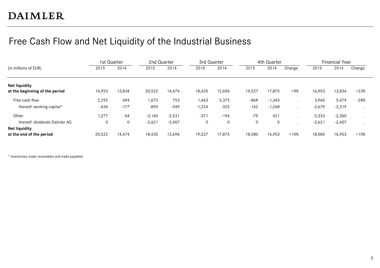### Free Cash Flow and Net Liquidity of the Industrial Business

|                                                        | 1st Quarter |        | 2nd Quarter |          | 3rd Quarter |        |        | 4th Quarter |        |          | <b>Financial Year</b> |         |
|--------------------------------------------------------|-------------|--------|-------------|----------|-------------|--------|--------|-------------|--------|----------|-----------------------|---------|
| (in millions of EUR)                                   | 2015        | 2014   | 2015        | 2014     | 2015        | 2014   | 2015   | 2014        | Change | 2015     | 2014                  | Change  |
| <b>Net liquidity</b><br>at the beginning of the period | 16,953      | 13,834 | 20,522      | 14,474   | 18,435      | 12,696 | 19,527 | 17,875      | $+9%$  | 16,953   | 13,834                | $+23%$  |
| Free cash flow                                         | 2,292       | 694    | 1,073       | 753      | 1,463       | 5,375  | $-868$ | $-1,343$    |        | 3,960    | 5,479                 | $-28%$  |
| thereof: working capital*                              | $-434$      | $-177$ | -859        | $-549$   | $-1,224$    | $-325$ | $-162$ | $-1,268$    |        | $-2,679$ | $-2,319$              |         |
| Other                                                  | 1,277       | -54    | $-3,160$    | $-2,531$ | $-371$      | $-196$ | $-79$  | 421         |        | $-2,333$ | $-2,360$              |         |
| thereof: dividends Daimler AG                          | 0           | 0      | $-2,621$    | $-2,407$ | 0           | 0      | 0      | 0           |        | $-2,621$ | $-2,407$              | $\cdot$ |
| <b>Net liquidity</b><br>at the end of the period       | 20,522      | 14,474 | 18,435      | 12.696   | 19,527      | 17,875 | 18,580 | 16,953      | $+10%$ | 18,580   | 16,953                | $+10%$  |

\* Inventories, trade receivables and trade payables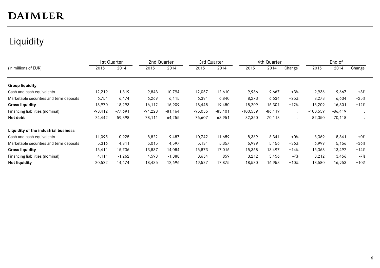# Liquidity

|                                         | 1st Quarter |           | 2nd Quarter |           | 3rd Quarter |           |            | 4th Quarter |                      |            | End of     |        |
|-----------------------------------------|-------------|-----------|-------------|-----------|-------------|-----------|------------|-------------|----------------------|------------|------------|--------|
| (in millions of EUR)                    | 2015        | 2014      | 2015        | 2014      | 2015        | 2014      | 2015       | 2014        | Change               | 2015       | 2014       | Change |
|                                         |             |           |             |           |             |           |            |             |                      |            |            |        |
| <b>Group liquidity</b>                  |             |           |             |           |             |           |            |             |                      |            |            |        |
| Cash and cash equivalents               | 12,219      | 11,819    | 9,843       | 10,794    | 12,057      | 12,610    | 9,936      | 9,667       | $+3%$                | 9,936      | 9,667      | $+3%$  |
| Marketable securities and term deposits | 6,751       | 6,474     | 6,269       | 6,115     | 6,391       | 6,840     | 8,273      | 6,634       | $+25%$               | 8,273      | 6,634      | $+25%$ |
| <b>Gross liquidity</b>                  | 18,970      | 18,293    | 16,112      | 16,909    | 18,448      | 19,450    | 18,209     | 16,301      | $+12%$               | 18,209     | 16,301     | $+12%$ |
| Financing liabilities (nominal)         | $-93,412$   | $-77,691$ | $-94,223$   | $-81,164$ | $-95,055$   | $-83,401$ | $-100,559$ | $-86,419$   | $\ddot{\phantom{a}}$ | $-100,559$ | $-86, 419$ |        |
| Net debt                                | $-74,442$   | $-59,398$ | $-78,111$   | $-64,255$ | $-76,607$   | $-63,951$ | $-82,350$  | $-70,118$   |                      | $-82,350$  | $-70,118$  |        |
| Liquidity of the industrial business    |             |           |             |           |             |           |            |             |                      |            |            |        |
| Cash and cash equivalents               | 11,095      | 10,925    | 8,822       | 9,487     | 10,742      | 11,659    | 8,369      | 8,341       | $+0\%$               | 8,369      | 8,341      | $+0\%$ |
| Marketable securities and term deposits | 5,316       | 4,811     | 5,015       | 4,597     | 5,131       | 5,357     | 6,999      | 5,156       | $+36%$               | 6,999      | 5,156      | $+36%$ |
| <b>Gross liquidity</b>                  | 16,411      | 15,736    | 13,837      | 14,084    | 15,873      | 17,016    | 15,368     | 13,497      | $+14%$               | 15,368     | 13,497     | $+14%$ |
| Financing liabilities (nominal)         | 4,111       | $-1,262$  | 4,598       | $-1,388$  | 3,654       | 859       | 3,212      | 3,456       | $-7%$                | 3,212      | 3,456      | $-7%$  |
| <b>Net liquidity</b>                    | 20,522      | 14,474    | 18,435      | 12,696    | 19,527      | 17,875    | 18,580     | 16,953      | $+10%$               | 18,580     | 16,953     | $+10%$ |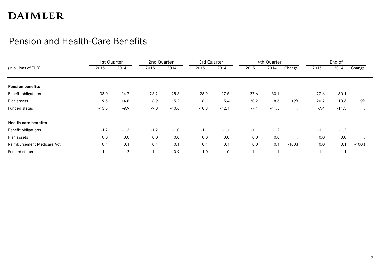#### Pension and Health-Care Benefits

|                             | 1st Quarter |         | 2nd Quarter |         | 3rd Quarter |         |         | 4th Quarter |         |         | End of  |         |
|-----------------------------|-------------|---------|-------------|---------|-------------|---------|---------|-------------|---------|---------|---------|---------|
| (in billions of EUR)        | 2015        | 2014    | 2015        | 2014    | 2015        | 2014    | 2015    | 2014        | Change  | 2015    | 2014    | Change  |
|                             |             |         |             |         |             |         |         |             |         |         |         |         |
| <b>Pension benefits</b>     |             |         |             |         |             |         |         |             |         |         |         |         |
| Benefit obligations         | $-33.0$     | $-24.7$ | $-28.2$     | $-25.8$ | $-28.9$     | $-27.5$ | $-27.6$ | $-30.1$     |         | $-27.6$ | $-30.1$ | $\cdot$ |
| Plan assets                 | 19.5        | 14.8    | 18.9        | 15.2    | 18.1        | 15.4    | 20.2    | 18.6        | +9%     | 20.2    | 18.6    | +9%     |
| Funded status               | $-13.5$     | $-9.9$  | $-9.3$      | $-10.6$ | $-10.8$     | $-12.1$ | $-7.4$  | $-11.5$     |         | $-7.4$  | $-11.5$ | $\cdot$ |
| <b>Health-care benefits</b> |             |         |             |         |             |         |         |             |         |         |         |         |
| Benefit obligations         | $-1.2$      | $-1.3$  | $-1.2$      | $-1.0$  | $-1.1$      | $-1.1$  | $-1.1$  | $-1.2$      |         | $-1.1$  | $-1.2$  |         |
| Plan assets                 | 0.0         | 0.0     | 0.0         | 0.0     | 0.0         | 0.0     | 0.0     | 0.0         |         | 0.0     | 0.0     |         |
| Reimbursement Medicare Act  | 0.1         | 0.1     | 0.1         | 0.1     | 0.1         | 0.1     | 0.0     | 0.1         | $-100%$ | 0.0     | 0.1     | $-100%$ |
| Funded status               | $-1.1$      | $-1.2$  | $-1.1$      | $-0.9$  | $-1.0$      | $-1.0$  | $-1.1$  | $-1.1$      |         | $-1.1$  | $-1.1$  |         |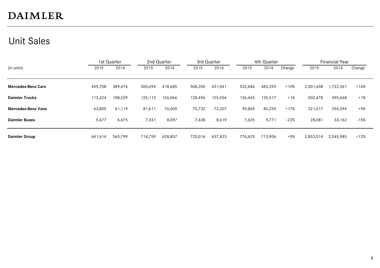#### Unit Sales

|                           |         | 1st Quarter |         | 2nd Quarter |         | 3rd Quarter |         | 4th Quarter |        |           | <b>Financial Year</b> |        |
|---------------------------|---------|-------------|---------|-------------|---------|-------------|---------|-------------|--------|-----------|-----------------------|--------|
| (in units)                | 2015    | 2014        | 2015    | 2014        | 2015    | 2014        | 2015    | 2014        | Change | 2015      | 2014                  | Change |
| <b>Mercedes-Benz Cars</b> | 459,708 | 389,476     | 500,694 | 418,685     | 508,350 | 431,041     | 532,686 | 483,359     | $+10%$ | 2,001,438 | 1,722,561             | $+16%$ |
|                           |         |             |         |             |         |             |         |             |        |           |                       |        |
| <b>Daimler Trucks</b>     | 112,424 | 108,529     | 125,113 | 126,066     | 128,496 | 125,556     | 136,445 | 135,517     | $+1%$  | 502,478   | 495,668               | $+1%$  |
| <b>Mercedes-Benz Vans</b> | 63,805  | 61,119      | 81,611  | 76,009      | 75,732  | 72,207      | 99,869  | 85,259      | $+17%$ | 321,017   | 294,594               | +9%    |
| <b>Daimler Buses</b>      | 5,677   | 6,675       | 7,341   | 8,097       | 7,438   | 8,619       | 7,625   | 9,771       | $-22%$ | 28,081    | 33,162                | $-15%$ |
| <b>Daimler Group</b>      | 641,614 | 565,799     | 714.759 | 628,857     | 720,016 | 637.423     | 776,625 | 713.906     | $+9%$  | 2,853,014 | 2,545,985             | $+12%$ |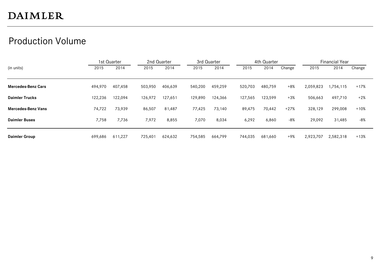#### Production Volume

|                           |         | 1st Quarter |         | 2nd Quarter |         | 3rd Quarter |         | 4th Quarter |        |           | Financial Year |        |
|---------------------------|---------|-------------|---------|-------------|---------|-------------|---------|-------------|--------|-----------|----------------|--------|
| (in units)                | 2015    | 2014        | 2015    | 2014        | 2015    | 2014        | 2015    | 2014        | Change | 2015      | 2014           | Change |
|                           |         |             |         |             |         |             |         |             |        |           |                |        |
| <b>Mercedes-Benz Cars</b> | 494,970 | 407,458     | 503,950 | 406,639     | 540,200 | 459,259     | 520,703 | 480,759     | $+8%$  | 2,059,823 | ,754,115       | $+17%$ |
| <b>Daimler Trucks</b>     | 122,236 | 122,094     | 126,972 | 127,651     | 129,890 | 124,366     | 127,565 | 123,599     | $+3%$  | 506,663   | 497,710        | $+2%$  |
| <b>Mercedes-Benz Vans</b> | 74,722  | 73,939      | 86,507  | 81,487      | 77,425  | 73,140      | 89,475  | 70,442      | $+27%$ | 328,129   | 299,008        | $+10%$ |
| <b>Daimler Buses</b>      | 7,758   | 7,736       | 7,972   | 8,855       | 7,070   | 8,034       | 6,292   | 6,860       | $-8%$  | 29,092    | 31,485         | -8%    |
| <b>Daimler Group</b>      | 699,686 | 611,227     | 725,401 | 624,632     | 754,585 | 664.799     | 744,035 | 681,660     | +9%    | 2,923,707 | 2,582,318      | +13%   |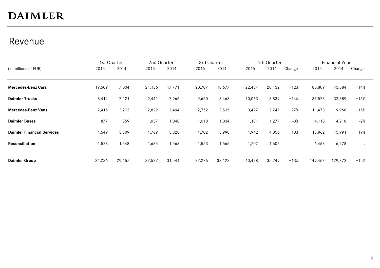#### Revenue

|                                   | 1st Quarter |          | 2nd Quarter |          | 3rd Quarter |          |          | 4th Quarter |        |          | <b>Financial Year</b> |        |
|-----------------------------------|-------------|----------|-------------|----------|-------------|----------|----------|-------------|--------|----------|-----------------------|--------|
| (in millions of EUR)              | 2015        | 2014     | 2015        | 2014     | 2015        | 2014     | 2015     | 2014        | Change | 2015     | 2014                  | Change |
|                                   |             |          |             |          |             |          |          |             |        |          |                       |        |
| <b>Mercedes-Benz Cars</b>         | 19,509      | 17,004   | 21,136      | 17,771   | 20,707      | 18,677   | 22,457   | 20,132      | $+12%$ | 83,809   | 73,584                | +14%   |
| <b>Daimler Trucks</b>             | 8,414       | 7,121    | 9,441       | 7,966    | 9,650       | 8,463    | 10,073   | 8,839       | $+14%$ | 37,578   | 32,389                | $+16%$ |
| <b>Mercedes-Benz Vans</b>         | 2,415       | 2,212    | 2,829       | 2,494    | 2,752       | 2,515    | 3,477    | 2,747       | $+27%$ | 11,473   | 9,968                 | $+15%$ |
| <b>Daimler Buses</b>              | 877         | 859      | 1,037       | 1,048    | 1,018       | 1,034    | 1,181    | 1,277       | $-8%$  | 4,113    | 4,218                 | $-2%$  |
| <b>Daimler Financial Services</b> | 4,549       | 3,809    | 4,769       | 3,828    | 4,702       | 3,998    | 4,942    | 4,356       | $+13%$ | 18,962   | 15,991                | $+19%$ |
| <b>Reconciliation</b>             | $-1,528$    | $-1,548$ | $-1,685$    | $-1,563$ | $-1,553$    | $-1,565$ | $-1,702$ | $-1,602$    |        | $-6,468$ | $-6,278$              |        |
| <b>Daimler Group</b>              | 34,236      | 29,457   | 37,527      | 31,544   | 37,276      | 33,122   | 40,428   | 35,749      | $+13%$ | 149,467  | 129,872               | $+15%$ |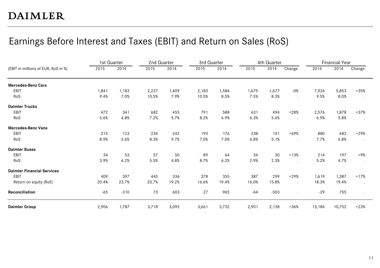#### Earnings Before Interest and Taxes (EBIT) and Return on Sales (RoS)

| (EBIT in millions of EUR, RoS in %) | 1st Quarter |        | 2nd Quarter |       | 3rd Quarter |       |       | 4th Quarter |        |        | <b>Financial Year</b> |           |
|-------------------------------------|-------------|--------|-------------|-------|-------------|-------|-------|-------------|--------|--------|-----------------------|-----------|
|                                     | 2015        | 2014   | 2015        | 2014  | 2015        | 2014  | 2015  | 2014        | Change | 2015   | 2014                  | Change    |
| <b>Mercedes-Benz Cars</b>           |             |        |             |       |             |       |       |             |        |        |                       |           |
| EBIT                                | 1,841       | 1,183  | 2,227       | 1,409 | 2,183       | 1,584 | 1,675 | 1,677       | $-0%$  | 7,926  | 5,853                 | $+35%$    |
| RoS                                 | 9.4%        | 7.0%   | 10.5%       | 7.9%  | 10.5%       | 8.5%  | 7.5%  | 8.3%        |        | 9.5%   | 8.0%                  | $\bullet$ |
| <b>Daimler Trucks</b>               |             |        |             |       |             |       |       |             |        |        |                       |           |
| EBIT                                | 472         | 341    | 682         | 455   | 791         | 588   | 631   | 494         | $+28%$ | 2,576  | 1,878                 | $+37%$    |
| RoS                                 | 5.6%        | 4.8%   | 7.2%        | 5.7%  | 8.2%        | 6.9%  | 6.3%  | 5.6%        |        | 6.9%   | 5.8%                  | $\bullet$ |
| <b>Mercedes-Benz Vans</b>           |             |        |             |       |             |       |       |             |        |        |                       |           |
| EBIT                                | 215         | 123    | 234         | 242   | 193         | 176   | 238   | 141         | $+69%$ | 880    | 682                   | $+29%$    |
| RoS                                 | 8.9%        | 5.6%   | 8.3%        | 9.7%  | 7.0%        | 7.0%  | 6.8%  | 5.1%        |        | 7.7%   | 6.8%                  | $\cdot$   |
| <b>Daimler Buses</b>                |             |        |             |       |             |       |       |             |        |        |                       |           |
| <b>EBIT</b>                         | 34          | 53     | 57          | 50    | 89          | 64    | 34    | 30          | $+13%$ | 214    | 197                   | $+9%$     |
| RoS                                 | 3.9%        | 6.2%   | 5.5%        | 4.8%  | 8.7%        | 6.2%  | 2.9%  | 2.3%        |        | 5.2%   | 4.7%                  | $\cdot$   |
| <b>Daimler Financial Services</b>   |             |        |             |       |             |       |       |             |        |        |                       |           |
| <b>EBIT</b>                         | 409         | 397    | 445         | 336   | 378         | 355   | 387   | 299         | $+29%$ | 1,619  | 1,387                 | $+17%$    |
| Return on equity (RoE)              | 20.4%       | 23.7%  | 20.7%       | 19.2% | 16.6%       | 19.4% | 16.0% | 15.8%       |        | 18.3%  | 19.4%                 | $\bullet$ |
| Reconciliation                      | $-65$       | $-310$ | 73          | 603   | 27          | 965   | $-64$ | $-503$      |        | $-29$  | 755                   | $\bullet$ |
| <b>Daimler Group</b>                | 2,906       | 1,787  | 3,718       | 3,095 | 3,661       | 3,732 | 2,901 | 2,138       | $+36%$ | 13,186 | 10,752                | $+23%$    |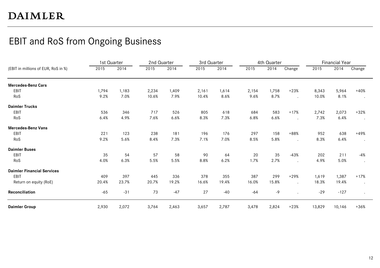#### EBIT and RoS from Ongoing Business

|                                     | 1st Quarter |       | 2nd Quarter |       | 3rd Quarter |       |       | 4th Quarter |           |        | <b>Financial Year</b> |           |
|-------------------------------------|-------------|-------|-------------|-------|-------------|-------|-------|-------------|-----------|--------|-----------------------|-----------|
| (EBIT in millions of EUR, RoS in %) | 2015        | 2014  | 2015        | 2014  | 2015        | 2014  | 2015  | 2014        | Change    | 2015   | 2014                  | Change    |
| <b>Mercedes-Benz Cars</b>           |             |       |             |       |             |       |       |             |           |        |                       |           |
| EBIT                                | 1,794       | 1,183 | 2,234       | 1,409 | 2,161       | 1,614 | 2,154 | 1,758       | $+23%$    | 8,343  | 5,964                 | $+40%$    |
| RoS                                 | 9.2%        | 7.0%  | 10.6%       | 7.9%  | 10.4%       | 8.6%  | 9.6%  | 8.7%        |           | 10.0%  | 8.1%                  | $\cdot$   |
| <b>Daimler Trucks</b>               |             |       |             |       |             |       |       |             |           |        |                       |           |
| EBIT                                | 536         | 346   | 717         | 526   | 805         | 618   | 684   | 583         | $+17%$    | 2,742  | 2,073                 | $+32%$    |
| RoS                                 | 6.4%        | 4.9%  | 7.6%        | 6.6%  | 8.3%        | 7.3%  | 6.8%  | 6.6%        |           | 7.3%   | 6.4%                  | $\cdot$   |
| <b>Mercedes-Benz Vans</b>           |             |       |             |       |             |       |       |             |           |        |                       |           |
| EBIT                                | 221         | 123   | 238         | 181   | 196         | 176   | 297   | 158         | +88%      | 952    | 638                   | $+49%$    |
| RoS                                 | 9.2%        | 5.6%  | 8.4%        | 7.3%  | 7.1%        | 7.0%  | 8.5%  | 5.8%        | $\bullet$ | 8.3%   | 6.4%                  | $\bullet$ |
| <b>Daimler Buses</b>                |             |       |             |       |             |       |       |             |           |        |                       |           |
| EBIT                                | 35          | 54    | 57          | 58    | 90          | 64    | 20    | 35          | $-43%$    | 202    | 211                   | -4%       |
| RoS                                 | 4.0%        | 6.3%  | 5.5%        | 5.5%  | 8.8%        | 6.2%  | 1.7%  | 2.7%        | $\cdot$   | 4.9%   | 5.0%                  | $\bullet$ |
| <b>Daimler Financial Services</b>   |             |       |             |       |             |       |       |             |           |        |                       |           |
| EBIT                                | 409         | 397   | 445         | 336   | 378         | 355   | 387   | 299         | $+29%$    | 1,619  | 1,387                 | $+17%$    |
| Return on equity (RoE)              | 20.4%       | 23.7% | 20.7%       | 19.2% | 16.6%       | 19.4% | 16.0% | 15.8%       |           | 18.3%  | 19.4%                 | $\bullet$ |
| Reconciliation                      | $-65$       | $-31$ | 73          | $-47$ | 27          | $-40$ | $-64$ | -9          |           | $-29$  | $-127$                | $\bullet$ |
| <b>Daimler Group</b>                | 2,930       | 2,072 | 3,764       | 2,463 | 3,657       | 2,787 | 3,478 | 2,824       | $+23%$    | 13,829 | 10,146                | $+36%$    |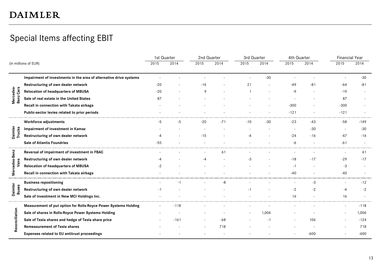#### Special Items affecting EBIT

|                        |                                                                    | 1st Quarter |        | 2nd Quarter |       | 3rd Quarter |       | 4th Quarter |       | <b>Financial Year</b> |        |
|------------------------|--------------------------------------------------------------------|-------------|--------|-------------|-------|-------------|-------|-------------|-------|-----------------------|--------|
|                        | (in millions of EUR)                                               | 2015        | 2014   | 2015        | 2014  | 2015        | 2014  | 2015        | 2014  | 2015                  | 2014   |
|                        | Impairment of investments in the area of alternative drive systems |             |        |             |       |             | $-30$ |             |       |                       | $-30$  |
|                        | Restructuring of own dealer network                                | $-20$       |        | $-16$       |       | 21          |       | $-49$       | $-81$ | $-64$                 | $-81$  |
|                        | <b>Relocation of headquarters of MBUSA</b>                         | $-20$       |        | 9           |       |             |       | -9          |       | $-19$                 |        |
| Mercedes-<br>Benz Cars | Sale of real estate in the United States                           | 87          |        |             |       |             |       |             |       | 87                    |        |
|                        | Recall in connection with Takata airbags                           |             |        |             |       |             |       | $-300$      |       | $-300$                |        |
|                        | Public-sector levies related to prior periods                      |             |        |             |       |             |       | $-121$      |       | $-121$                |        |
|                        | Workforce adjustments                                              | $-5$        | -5     | $-20$       | $-71$ | $-10$       | $-30$ | $-23$       | $-43$ | $-58$                 | $-149$ |
|                        | Impairment of investment in Kamaz                                  |             |        |             |       |             |       |             | $-30$ |                       | $-30$  |
| Daimler<br>Trucks      | Restructuring of own dealer network                                | -4          |        | $-15$       |       | -4          |       | $-24$       | $-16$ | $-47$                 | $-16$  |
|                        | <b>Sale of Atlantis Foundries</b>                                  | $-55$       |        |             |       |             |       | -6          |       | $-61$                 |        |
| Mercedes-Benz          | Reversal of impairment of investment in FBAC                       |             |        |             | 61    |             |       |             |       |                       | 61     |
| Vans                   | Restructuring of own dealer network                                | -4          |        | -4          |       | -3          |       | $-18$       | $-17$ | $-29$                 | $-17$  |
|                        | Relocation of headquarters of MBUSA                                | -2          |        |             |       |             |       |             |       | $-3$                  |        |
|                        | Recall in connection with Takata airbags                           |             |        |             |       |             |       | $-40$       |       | $-40$                 |        |
|                        | <b>Business repositioning</b>                                      |             | -1     |             | -8    |             |       |             | -3    |                       | $-12$  |
| Daimler<br>Buses       | Restructuring of own dealer network                                | -1          |        |             |       | - 1         |       | -2          | -2    | -4                    | $-2$   |
|                        | Sale of investment in New MCI Holdings Inc.                        |             |        |             |       |             |       | 16          |       | 16                    |        |
|                        | Measurement of put option for Rolls-Royce Power Systems Holding    |             | $-118$ |             |       |             |       |             |       |                       | $-118$ |
|                        | Sale of shares in Rolls-Royce Power Systems Holding                |             |        |             |       |             | 1,006 |             |       |                       | 1,006  |
| Reconciliation         | Sale of Tesla shares and hedge of Tesla share price                |             | $-161$ |             | $-68$ |             | -1    |             | 106   |                       | $-124$ |
|                        | <b>Remeasurement of Tesla shares</b>                               |             |        |             | 718   |             |       |             |       |                       | 718    |
|                        | Expenses related to EU antitrust proceedings                       |             |        |             |       |             |       |             | -600  |                       | $-600$ |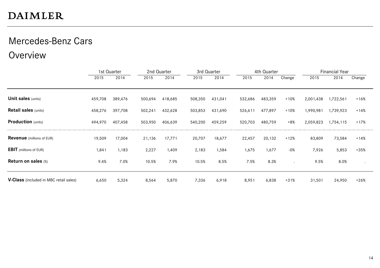# Mercedes-Benz Cars

Overview

|                                               |         | 1st Quarter |         | 2nd Quarter |         | 3rd Quarter |         | 4th Quarter |        |           | <b>Financial Year</b> |        |
|-----------------------------------------------|---------|-------------|---------|-------------|---------|-------------|---------|-------------|--------|-----------|-----------------------|--------|
|                                               | 2015    | 2014        | 2015    | 2014        | 2015    | 2014        | 2015    | 2014        | Change | 2015      | 2014                  | Change |
|                                               |         |             |         |             |         |             |         |             |        |           |                       |        |
| <b>Unit sales</b> (units)                     | 459,708 | 389,476     | 500,694 | 418,685     | 508,350 | 431,041     | 532,686 | 483,359     | $+10%$ | 2,001,438 | 1,722,561             | $+16%$ |
| <b>Retail sales (units)</b>                   | 458,276 | 397,708     | 502,241 | 432,628     | 503,853 | 431,690     | 526,611 | 477,897     | $+10%$ | 1,990,981 | 1,739,923             | $+14%$ |
| <b>Production</b> (units)                     | 494,970 | 407,458     | 503,950 | 406,639     | 540,200 | 459,259     | 520,703 | 480,759     | $+8%$  | 2,059,823 | 1,754,115             | $+17%$ |
| <b>Revenue</b> (millions of EUR)              | 19,509  | 17,004      | 21,136  | 17,771      | 20,707  | 18,677      | 22,457  | 20,132      | $+12%$ | 83,809    | 73,584                | $+14%$ |
| <b>EBIT</b> (millions of EUR)                 | 1,841   | 1,183       | 2,227   | 1,409       | 2,183   | 1,584       | 1,675   | 1,677       | $-0%$  | 7,926     | 5,853                 | $+35%$ |
| Return on sales (%)                           | 9.4%    | 7.0%        | 10.5%   | 7.9%        | 10.5%   | 8.5%        | 7.5%    | 8.3%        |        | 9.5%      | 8.0%                  |        |
| <b>V-Class</b> (included in MBC retail sales) | 6,650   | 5,324       | 8,564   | 5,870       | 7,336   | 6,918       | 8,951   | 6,838       | $+31%$ | 31,501    | 24,950                | $+26%$ |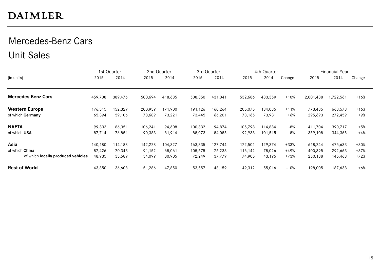# Mercedes-Benz Cars Unit Sales

|                                    |         | 1st Quarter | 2nd Quarter |         | 3rd Quarter |         |         | 4th Quarter |        |           | <b>Financial Year</b> |        |
|------------------------------------|---------|-------------|-------------|---------|-------------|---------|---------|-------------|--------|-----------|-----------------------|--------|
| (in units)                         | 2015    | 2014        | 2015        | 2014    | 2015        | 2014    | 2015    | 2014        | Change | 2015      | 2014                  | Change |
|                                    |         |             |             |         |             |         |         |             |        |           |                       |        |
| <b>Mercedes-Benz Cars</b>          | 459,708 | 389,476     | 500,694     | 418,685 | 508,350     | 431,041 | 532,686 | 483,359     | $+10%$ | 2,001,438 | .722,561              | $+16%$ |
| <b>Western Europe</b>              | 176,345 | 152,329     | 200,939     | 171,900 | 191,126     | 160,264 | 205,075 | 184,085     | $+11%$ | 773,485   | 668,578               | $+16%$ |
| of which Germany                   | 65,394  | 59,106      | 78,689      | 73,221  | 73,445      | 66,201  | 78,165  | 73,931      | $+6%$  | 295,693   | 272,459               | +9%    |
| <b>NAFTA</b>                       | 99,333  | 86,351      | 106,241     | 94,608  | 100,332     | 94,874  | 105,798 | 114.884     | $-8%$  | 411,704   | 390,717               | $+5%$  |
| of which USA                       | 87,714  | 76,851      | 90,383      | 81,914  | 88,073      | 84,085  | 92,938  | 101,515     | $-8%$  | 359,108   | 344,365               | $+4%$  |
| Asia                               | 140,180 | 114,188     | 142,228     | 104,327 | 163,335     | 127,744 | 172,501 | 129,374     | $+33%$ | 618,244   | 475,633               | $+30%$ |
| of which China                     | 87,426  | 70,343      | 91,152      | 68,061  | 105,675     | 76,233  | 116,142 | 78,026      | $+49%$ | 400,395   | 292,663               | +37%   |
| of which locally produced vehicles | 48,935  | 33,589      | 54,099      | 30,905  | 72,249      | 37,779  | 74,905  | 43,195      | $+73%$ | 250,188   | 145,468               | $+72%$ |
| <b>Rest of World</b>               | 43,850  | 36,608      | 51,286      | 47,850  | 53,557      | 48,159  | 49,312  | 55,016      | $-10%$ | 198,005   | 187,633               | $+6%$  |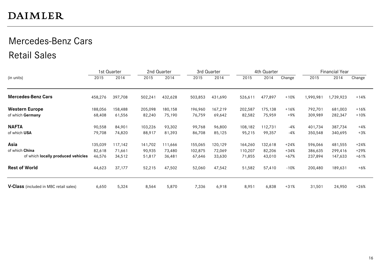# Mercedes-Benz Cars Retail Sales

|                                               |         | 1st Quarter |         | 2nd Quarter |         | 3rd Quarter |         | 4th Quarter |        |           | <b>Financial Year</b> |        |
|-----------------------------------------------|---------|-------------|---------|-------------|---------|-------------|---------|-------------|--------|-----------|-----------------------|--------|
| (in units)                                    | 2015    | 2014        | 2015    | 2014        | 2015    | 2014        | 2015    | 2014        | Change | 2015      | 2014                  | Change |
| <b>Mercedes-Benz Cars</b>                     | 458,276 | 397,708     | 502,241 | 432,628     | 503,853 | 431,690     | 526,611 | 477,897     | $+10%$ | 1,990,981 | ,739,923              | $+14%$ |
| <b>Western Europe</b>                         | 188,056 | 158,488     | 205,098 | 180,158     | 196,960 | 167,219     | 202,587 | 175,138     | $+16%$ | 792,701   | 681,003               | $+16%$ |
| of which Germany                              | 68,408  | 61,556      | 82,240  | 75,190      | 76,759  | 69,642      | 82,582  | 75,959      | $+9%$  | 309,989   | 282,347               | $+10%$ |
| <b>NAFTA</b>                                  | 90,558  | 84,901      | 103,226 | 93,302      | 99,768  | 96,800      | 108,182 | 112,731     | $-4%$  | 401,734   | 387,734               | +4%    |
| of which USA                                  | 79,708  | 74,820      | 88,917  | 81,393      | 86,708  | 85,125      | 95,215  | 99,357      | -4%    | 350,548   | 340,695               | +3%    |
| Asia                                          | 135,039 | 117,142     | 141,702 | 111,666     | 155,065 | 120,129     | 164,260 | 132,618     | $+24%$ | 596,066   | 481,555               | $+24%$ |
| of which China                                | 82,618  | 71,661      | 90,935  | 73.480      | 102,875 | 72,069      | 110,207 | 82,206      | $+34%$ | 386,635   | 299,416               | $+29%$ |
| of which locally produced vehicles            | 46,576  | 34,512      | 51,817  | 36,481      | 67,646  | 33,630      | 71,855  | 43,010      | $+67%$ | 237,894   | 147,633               | $+61%$ |
| <b>Rest of World</b>                          | 44,623  | 37,177      | 52,215  | 47,502      | 52,060  | 47,542      | 51,582  | 57,410      | $-10%$ | 200,480   | 189,631               | $+6%$  |
| <b>V-Class</b> (included in MBC retail sales) | 6,650   | 5,324       | 8,564   | 5,870       | 7,336   | 6,918       | 8,951   | 6,838       | $+31%$ | 31,501    | 24,950                | $+26%$ |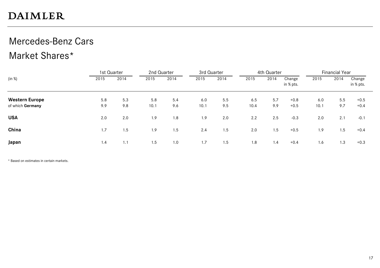# Mercedes-Benz Cars

#### Market Shares\*

|                       |      | 1st Quarter |      | 2nd Quarter | 3rd Quarter |      |      | 4th Quarter |                     |      | <b>Financial Year</b> |                     |
|-----------------------|------|-------------|------|-------------|-------------|------|------|-------------|---------------------|------|-----------------------|---------------------|
| (in %)                | 2015 | 2014        | 2015 | 2014        | 2015        | 2014 | 2015 | 2014        | Change<br>in % pts. | 2015 | 2014                  | Change<br>in % pts. |
| <b>Western Europe</b> | 5.8  | 5.3         | 5.8  | 5.4         | 6.0         | 5.5  | 6.5  | 5.7         | $+0.8$              | 6.0  | 5.5                   | $+0.5$              |
| of which Germany      | 9.9  | 9.8         | 10.1 | 9.6         | 10.1        | 9.5  | 10.4 | 9.9         | $+0.5$              | 10.1 | 9.7                   | $+0.4$              |
| <b>USA</b>            | 2.0  | 2.0         | 1.9  | 1.8         | 1.9         | 2.0  | 2.2  | 2.5         | $-0.3$              | 2.0  | 2.1                   | $-0.1$              |
| China                 | 1.7  | 1.5         | 1.9  | 1.5         | 2.4         | 1.5  | 2.0  | 1.5         | $+0.5$              | 1.9  | 1.5                   | $+0.4$              |
| Japan                 | 1.4  | 1.1         | 1.5  | 1.0         | 1.7         | 1.5  | 1.8  | 1.4         | $+0.4$              | 1.6  | 1.3                   | $+0.3$              |

\* Based on estimates in certain markets.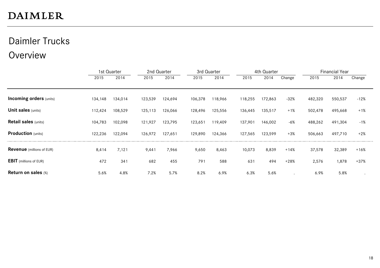# Daimler Trucks

#### Overview

|                                  |         | 1st Quarter |         | 2nd Quarter | 3rd Quarter |         |         | 4th Quarter |        |         | <b>Financial Year</b> |        |
|----------------------------------|---------|-------------|---------|-------------|-------------|---------|---------|-------------|--------|---------|-----------------------|--------|
|                                  | 2015    | 2014        | 2015    | 2014        | 2015        | 2014    | 2015    | 2014        | Change | 2015    | 2014                  | Change |
|                                  |         |             |         |             |             |         |         |             |        |         |                       |        |
| <b>Incoming orders (units)</b>   | 134,148 | 134,014     | 123,539 | 124,694     | 106,378     | 118,966 | 118,255 | 172,863     | $-32%$ | 482,320 | 550,537               | $-12%$ |
| <b>Unit sales (units)</b>        | 112,424 | 108,529     | 125,113 | 126,066     | 128,496     | 125,556 | 136,445 | 135,517     | $+1%$  | 502,478 | 495,668               | $+1%$  |
| <b>Retail sales (units)</b>      | 104,783 | 102,098     | 121,927 | 123,795     | 123,651     | 119,409 | 137,901 | 146,002     | $-6%$  | 488,262 | 491,304               | $-1%$  |
| <b>Production</b> (units)        | 122,236 | 122,094     | 126,972 | 127,651     | 129,890     | 124,366 | 127,565 | 123,599     | $+3%$  | 506,663 | 497,710               | $+2%$  |
| <b>Revenue</b> (millions of EUR) | 8,414   | 7,121       | 9,441   | 7,966       | 9,650       | 8,463   | 10,073  | 8,839       | $+14%$ | 37,578  | 32,389                | $+16%$ |
| <b>EBIT</b> (millions of EUR)    | 472     | 341         | 682     | 455         | 791         | 588     | 631     | 494         | $+28%$ | 2,576   | 1,878                 | $+37%$ |
| Return on sales (%)              | 5.6%    | 4.8%        | 7.2%    | 5.7%        | 8.2%        | 6.9%    | 6.3%    | 5.6%        |        | 6.9%    | 5.8%                  |        |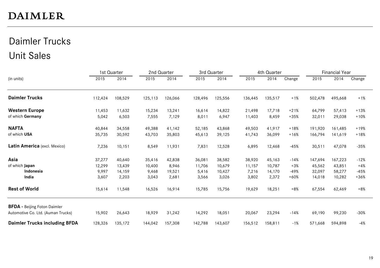# Daimler Trucks Unit Sales

|                                      |         | 1st Quarter |         | 2nd Quarter |         | 3rd Quarter |         | 4th Quarter |        |         | <b>Financial Year</b> |        |
|--------------------------------------|---------|-------------|---------|-------------|---------|-------------|---------|-------------|--------|---------|-----------------------|--------|
| (in units)                           | 2015    | 2014        | 2015    | 2014        | 2015    | 2014        | 2015    | 2014        | Change | 2015    | 2014                  | Change |
| <b>Daimler Trucks</b>                | 112,424 | 108,529     | 125,113 | 126,066     | 128,496 | 125,556     | 136,445 | 135,517     | $+1%$  | 502,478 | 495,668               | $+1%$  |
| <b>Western Europe</b>                | 11,453  | 11,632      | 15,234  | 13,241      | 16,614  | 14,822      | 21,498  | 17,718      | $+21%$ | 64,799  | 57,413                | $+13%$ |
| of which Germany                     | 5,042   | 6,503       | 7,555   | 7,129       | 8,011   | 6,947       | 11,403  | 8,459       | $+35%$ | 32,011  | 29,038                | $+10%$ |
| <b>NAFTA</b>                         | 40,844  | 34,558      | 49,388  | 41,142      | 52,185  | 43,868      | 49,503  | 41,917      | $+18%$ | 191,920 | 161,485               | $+19%$ |
| of which USA                         | 35,735  | 30,592      | 43,703  | 35,803      | 45,613  | 39,125      | 41,743  | 36,099      | $+16%$ | 166,794 | 141,619               | $+18%$ |
| Latin America (excl. Mexico)         | 7,236   | 10,151      | 8,549   | 11,931      | 7,831   | 12,528      | 6,895   | 12,468      | -45%   | 30,511  | 47,078                | $-35%$ |
| Asia                                 | 37,277  | 40,640      | 35,416  | 42,838      | 36,081  | 38,582      | 38,920  | 45,163      | $-14%$ | 147,694 | 167,223               | $-12%$ |
| of which Japan                       | 12,299  | 13,439      | 10,400  | 8,946       | 11,706  | 10,679      | 11,157  | 10,787      | $+3%$  | 45,562  | 43,851                | $+4%$  |
| Indonesia                            | 9,997   | 14,159      | 9,468   | 19,521      | 5,416   | 10,427      | 7,216   | 14,170      | -49%   | 32,097  | 58,277                | $-45%$ |
| India                                | 3,607   | 2,203       | 3,043   | 2,681       | 3,566   | 3,026       | 3,802   | 2,372       | $+60%$ | 14,018  | 10,282                | $+36%$ |
| <b>Rest of World</b>                 | 15,614  | 11,548      | 16,526  | 16,914      | 15,785  | 15,756      | 19,629  | 18,251      | $+8%$  | 67,554  | 62,469                | $+8%$  |
| <b>BFDA</b> - Beijing Foton Daimler  |         |             |         |             |         |             |         |             |        |         |                       |        |
| Automotive Co. Ltd. (Auman Trucks)   | 15,902  | 26,643      | 18,929  | 31,242      | 14,292  | 18,051      | 20,067  | 23,294      | $-14%$ | 69,190  | 99,230                | $-30%$ |
| <b>Daimler Trucks including BFDA</b> | 128,326 | 135,172     | 144,042 | 157,308     | 142,788 | 143,607     | 156,512 | 158,811     | $-1%$  | 571,668 | 594,898               | -4%    |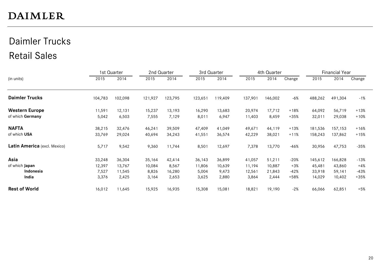# Daimler Trucks Retail Sales

|                              |         | 1st Quarter |         | 2nd Quarter |         | 3rd Quarter |         | 4th Quarter |        |         | <b>Financial Year</b> |        |
|------------------------------|---------|-------------|---------|-------------|---------|-------------|---------|-------------|--------|---------|-----------------------|--------|
| (in units)                   | 2015    | 2014        | 2015    | 2014        | 2015    | 2014        | 2015    | 2014        | Change | 2015    | 2014                  | Change |
| <b>Daimler Trucks</b>        | 104,783 | 102,098     | 121,927 | 123,795     | 123,651 | 119,409     | 137,901 | 146,002     | $-6%$  | 488,262 | 491,304               | $-1%$  |
| <b>Western Europe</b>        | 11,591  | 12,131      | 15,237  | 13,193      | 16,290  | 13,683      | 20,974  | 17,712      | $+18%$ | 64,092  | 56,719                | $+13%$ |
| of which Germany             | 5,042   | 6,503       | 7,555   | 7,129       | 8,011   | 6,947       | 11,403  | 8,459       | $+35%$ | 32,011  | 29,038                | $+10%$ |
| <b>NAFTA</b>                 | 38,215  | 32,476      | 46,241  | 39,509      | 47,409  | 41,049      | 49,671  | 44,119      | $+13%$ | 181,536 | 157,153               | $+16%$ |
| of which USA                 | 33,769  | 29,024      | 40,694  | 34,243      | 41,551  | 36,574      | 42,229  | 38,021      | $+11%$ | 158,243 | 137,862               | $+15%$ |
| Latin America (excl. Mexico) | 5,717   | 9,542       | 9,360   | 11,744      | 8,501   | 12,697      | 7,378   | 13,770      | $-46%$ | 30,956  | 47,753                | $-35%$ |
| Asia                         | 33,248  | 36,304      | 35,164  | 42,414      | 36,143  | 36,899      | 41,057  | 51,211      | $-20%$ | 145,612 | 166,828               | $-13%$ |
| of which Japan               | 12,397  | 13,767      | 10,084  | 8,567       | 11,806  | 10,639      | 11,194  | 10,887      | $+3%$  | 45,481  | 43,860                | $+4%$  |
| Indonesia                    | 7,527   | 11,545      | 8,826   | 16,280      | 5,004   | 9,473       | 12,561  | 21,843      | $-42%$ | 33,918  | 59,141                | $-43%$ |
| India                        | 3,376   | 2,425       | 3,164   | 2,653       | 3,625   | 2,880       | 3,864   | 2,444       | $+58%$ | 14,029  | 10,402                | $+35%$ |
| <b>Rest of World</b>         | 16,012  | 11,645      | 15,925  | 16,935      | 15,308  | 15,081      | 18,821  | 19,190      | $-2%$  | 66,066  | 62,851                | $+5%$  |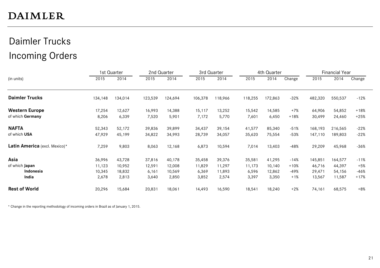# Daimler Trucks Incoming Orders

|                               |         | 1st Quarter |         | 2nd Quarter |         | 3rd Quarter |         | 4th Quarter |        |         | <b>Financial Year</b> |        |
|-------------------------------|---------|-------------|---------|-------------|---------|-------------|---------|-------------|--------|---------|-----------------------|--------|
| (in units)                    | 2015    | 2014        | 2015    | 2014        | 2015    | 2014        | 2015    | 2014        | Change | 2015    | 2014                  | Change |
| <b>Daimler Trucks</b>         | 134,148 | 134,014     | 123,539 | 124,694     | 106,378 | 118,966     | 118,255 | 172,863     | $-32%$ | 482,320 | 550,537               | $-12%$ |
| <b>Western Europe</b>         | 17,254  | 12,627      | 16,993  | 14,388      | 15,117  | 13,252      | 15,542  | 14,585      | $+7%$  | 64,906  | 54,852                | $+18%$ |
| of which Germany              | 8,206   | 6,339       | 7,520   | 5,901       | 7,172   | 5,770       | 7,601   | 6,450       | $+18%$ | 30,499  | 24,460                | $+25%$ |
| <b>NAFTA</b>                  | 52,343  | 52,172      | 39,836  | 39,899      | 34,437  | 39,154      | 41,577  | 85,340      | $-51%$ | 168,193 | 216,565               | $-22%$ |
| of which USA                  | 47,929  | 45,199      | 34,822  | 34,993      | 28,739  | 34,057      | 35,620  | 75,554      | $-53%$ | 147,110 | 189,803               | $-22%$ |
| Latin America (excl. Mexico)* | 7,259   | 9,803       | 8,063   | 12,168      | 6,873   | 10,594      | 7,014   | 13,403      | $-48%$ | 29,209  | 45,968                | $-36%$ |
| Asia                          | 36,996  | 43,728      | 37,816  | 40,178      | 35,458  | 39,376      | 35,581  | 41,295      | $-14%$ | 145,851 | 164,577               | $-11%$ |
| of which Japan                | 11,123  | 10,952      | 12,591  | 12,008      | 11,829  | 11,297      | 11,173  | 10,140      | $+10%$ | 46,716  | 44,397                | +5%    |
| Indonesia                     | 10,345  | 18,832      | 6,161   | 10,569      | 6,369   | 11,893      | 6,596   | 12,862      | -49%   | 29,471  | 54,156                | -46%   |
| India                         | 2,678   | 2,813       | 3,640   | 2,850       | 3,852   | 2,574       | 3,397   | 3,350       | $+1%$  | 13,567  | 11,587                | $+17%$ |
| <b>Rest of World</b>          | 20,296  | 15,684      | 20,831  | 18,061      | 14,493  | 16,590      | 18,541  | 18,240      | $+2%$  | 74,161  | 68,575                | $+8%$  |

\* Change in the reporting methodology of incoming orders in Brazil as of January 1, 2015.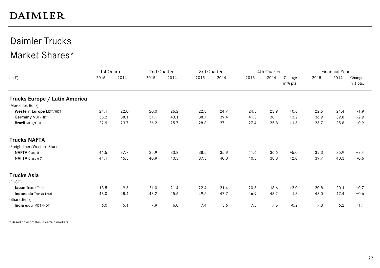### Daimler Trucks Market Shares\*

|                               | 1st Quarter |      | 2nd Quarter |      | 3rd Quarter |      |      | 4th Quarter |                     |      | <b>Financial Year</b> |                     |
|-------------------------------|-------------|------|-------------|------|-------------|------|------|-------------|---------------------|------|-----------------------|---------------------|
| (in %)                        | 2015        | 2014 | 2015        | 2014 | 2015        | 2014 | 2015 | 2014        | Change<br>in % pts. | 2015 | 2014                  | Change<br>in % pts. |
| Trucks Europe / Latin America |             |      |             |      |             |      |      |             |                     |      |                       |                     |
| (Mercedes-Benz)               |             |      |             |      |             |      |      |             |                     |      |                       |                     |
| Western Europe MDT/HDT        | 21.1        | 22.0 | 20.0        | 26.2 | 22.8        | 24.7 | 24.5 | 23.9        | $+0.6$              | 22.5 | 24.4                  | $-1.9$              |
| Germany MDT/HDT               | 33.2        | 38.1 | 31.1        | 43.1 | 38.7        | 39.4 | 41.3 | 38.1        | $+3.2$              | 36.9 | 39.8                  | $-2.9$              |
| Brazil MDT/HDT                | 22.9        | 23.7 | 26.2        | 25.7 | 28.8        | 27.1 | 27.4 | 25.8        | $+1.6$              | 26.7 | 25.8                  | $+0.9$              |
| <b>Trucks NAFTA</b>           |             |      |             |      |             |      |      |             |                     |      |                       |                     |
| (Freightliner/Western Star)   |             |      |             |      |             |      |      |             |                     |      |                       |                     |
| <b>NAFTA</b> Class 8          | 41.5        | 37.7 | 35.9        | 33.8 | 38.5        | 35.9 | 41.6 | 36.6        | $+5.0$              | 39.3 | 35.9                  | $+3.4$              |
| NAFTA Class 6-7               | 41.1        | 45.3 | 40.9        | 40.5 | 37.3        | 40.0 | 40.3 | 38.3        | $+2.0$              | 39.7 | 40.3                  | $-0.6$              |
| <b>Trucks Asia</b>            |             |      |             |      |             |      |      |             |                     |      |                       |                     |
| (FUSO)                        |             |      |             |      |             |      |      |             |                     |      |                       |                     |
| Japan Trucks Total            | 18.5        | 19.6 | 21.0        | 21.4 | 22.4        | 21.4 | 20.6 | 18.6        | $+2.0$              | 20.8 | 20.1                  | $+0.7$              |
| <b>Indonesia</b> Trucks Total | 48.0        | 48.4 | 48.2        | 45.6 | 49.5        | 47.7 | 46.9 | 48.2        | $-1.3$              | 48.0 | 47.4                  | $+0.6$              |
| (BharatBenz)                  |             |      |             |      |             |      |      |             |                     |      |                       |                     |
| India upper MDT/HDT           | 6.0         | 5.1  | 7.9         | 6.0  | 7.4         | 5.6  | 7.3  | 7.5         | $-0.2$              | 7.3  | 6.2                   | $+1.1$              |

\* Based on estimates in certain markets.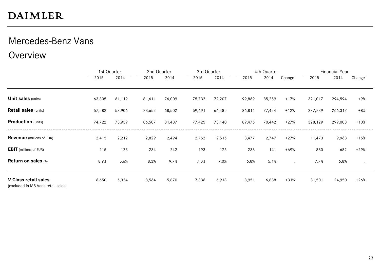# Mercedes-Benz Vans

Overview

|                                                                   |        | 1st Quarter | 2nd Quarter |        | 3rd Quarter |        |        | 4th Quarter |         |         | <b>Financial Year</b> |        |
|-------------------------------------------------------------------|--------|-------------|-------------|--------|-------------|--------|--------|-------------|---------|---------|-----------------------|--------|
|                                                                   | 2015   | 2014        | 2015        | 2014   | 2015        | 2014   | 2015   | 2014        | Change  | 2015    | 2014                  | Change |
|                                                                   |        |             |             |        |             |        |        |             |         |         |                       |        |
| <b>Unit sales (units)</b>                                         | 63,805 | 61,119      | 81,611      | 76,009 | 75,732      | 72,207 | 99,869 | 85,259      | $+17%$  | 321,017 | 294,594               | +9%    |
| <b>Retail sales (units)</b>                                       | 57,582 | 53,906      | 73,652      | 68,502 | 69,691      | 66,485 | 86,814 | 77,424      | $+12%$  | 287,739 | 266,317               | $+8%$  |
| <b>Production</b> (units)                                         | 74,722 | 73,939      | 86,507      | 81,487 | 77,425      | 73,140 | 89,475 | 70,442      | $+27%$  | 328,129 | 299,008               | $+10%$ |
| <b>Revenue</b> (millions of EUR)                                  | 2,415  | 2,212       | 2,829       | 2,494  | 2,752       | 2,515  | 3,477  | 2,747       | $+27%$  | 11,473  | 9,968                 | $+15%$ |
| <b>EBIT</b> (millions of EUR)                                     | 215    | 123         | 234         | 242    | 193         | 176    | 238    | 141         | $+69%$  | 880     | 682                   | $+29%$ |
| Return on sales (%)                                               | 8.9%   | 5.6%        | 8.3%        | 9.7%   | 7.0%        | 7.0%   | 6.8%   | 5.1%        | $\cdot$ | 7.7%    | 6.8%                  |        |
| <b>V-Class retail sales</b><br>(excluded in MB Vans retail sales) | 6,650  | 5,324       | 8,564       | 5,870  | 7,336       | 6,918  | 8,951  | 6,838       | $+31%$  | 31,501  | 24,950                | $+26%$ |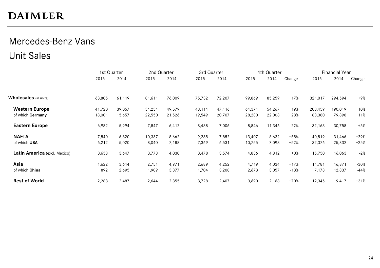# Mercedes-Benz Vans Unit Sales

|                              | 1st Quarter |        | 2nd Quarter |        | 3rd Quarter |        |        | 4th Quarter |        |         | <b>Financial Year</b> |        |
|------------------------------|-------------|--------|-------------|--------|-------------|--------|--------|-------------|--------|---------|-----------------------|--------|
|                              | 2015        | 2014   | 2015        | 2014   | 2015        | 2014   | 2015   | 2014        | Change | 2015    | 2014                  | Change |
| <b>Wholesales</b> (in units) | 63,805      | 61,119 | 81,611      | 76,009 | 75,732      | 72,207 | 99,869 | 85,259      | $+17%$ | 321,017 | 294,594               | $+9%$  |
| <b>Western Europe</b>        | 41,720      | 39,057 | 54,254      | 49,579 | 48,114      | 47,116 | 64,371 | 54,267      | $+19%$ | 208,459 | 190,019               | $+10%$ |
| of which Germany             | 18,001      | 15,657 | 22,550      | 21,526 | 19,549      | 20,707 | 28,280 | 22,008      | $+28%$ | 88,380  | 79,898                | $+11%$ |
| <b>Eastern Europe</b>        | 6,982       | 5,994  | 7,847       | 6,412  | 8,488       | 7,006  | 8,846  | 11,346      | $-22%$ | 32,163  | 30,758                | $+5%$  |
| <b>NAFTA</b>                 | 7,540       | 6,320  | 10,337      | 8,662  | 9,235       | 7,852  | 13,407 | 8,632       | $+55%$ | 40,519  | 31,466                | $+29%$ |
| of which USA                 | 6,212       | 5,020  | 8,040       | 7,188  | 7,369       | 6,531  | 10,755 | 7,093       | $+52%$ | 32,376  | 25,832                | $+25%$ |
| Latin America (excl. Mexico) | 3,658       | 3,647  | 3,778       | 4,030  | 3,478       | 3,574  | 4,836  | 4,812       | $+0\%$ | 15,750  | 16,063                | $-2%$  |
| Asia                         | 1,622       | 3,614  | 2,751       | 4,971  | 2,689       | 4,252  | 4,719  | 4,034       | $+17%$ | 11,781  | 16,871                | $-30%$ |
| of which China               | 892         | 2,695  | 1,909       | 3,877  | 1,704       | 3,208  | 2,673  | 3,057       | $-13%$ | 7,178   | 12,837                | $-44%$ |
| <b>Rest of World</b>         | 2,283       | 2,487  | 2,644       | 2,355  | 3,728       | 2,407  | 3,690  | 2,168       | $+70%$ | 12,345  | 9,417                 | $+31%$ |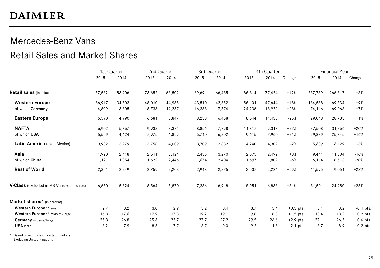#### Mercedes-Benz Vans Retail Sales and Market Shares

|                                            | 1st Quarter |        |        | 2nd Quarter |        | 3rd Quarter |        | 4th Quarter |             | <b>Financial Year</b> |         |             |
|--------------------------------------------|-------------|--------|--------|-------------|--------|-------------|--------|-------------|-------------|-----------------------|---------|-------------|
|                                            | 2015        | 2014   | 2015   | 2014        | 2015   | 2014        | 2015   | 2014        | Change      | 2015                  | 2014    | Change      |
| <b>Retail sales</b> (in units)             | 57,582      | 53,906 | 73,652 | 68,502      | 69,691 | 66,485      | 86,814 | 77,424      | $+12%$      | 287,739               | 266,317 | $+8%$       |
| <b>Western Europe</b>                      | 36,917      | 34,503 | 48,010 | 44.935      | 43,510 | 42,652      | 56,101 | 47,644      | $+18%$      | 184,538               | 169,734 | $+9%$       |
| of which Germany                           | 14,809      | 13,305 | 18,733 | 19,267      | 16,338 | 17,574      | 24,236 | 18,922      | $+28%$      | 74,116                | 69,068  | $+7%$       |
| <b>Eastern Europe</b>                      | 5,590       | 4,990  | 6,681  | 5,847       | 8,233  | 6,458       | 8,544  | 11,438      | $-25%$      | 29,048                | 28,733  | $+1%$       |
| <b>NAFTA</b>                               | 6,902       | 5,767  | 9,933  | 8,384       | 8,856  | 7,898       | 11,817 | 9,317       | $+27%$      | 37,508                | 31,366  | $+20%$      |
| of which USA                               | 5,559       | 4,624  | 7,975  | 6,859       | 6,740  | 6,302       | 9,615  | 7,960       | $+21%$      | 29,889                | 25,745  | $+16%$      |
| Latin America (excl. Mexico)               | 3,902       | 3,979  | 3,758  | 4,009       | 3,709  | 3,832       | 4,240  | 4,309       | $-2%$       | 15,609                | 16,129  | $-3%$       |
| Asia                                       | 1,920       | 2,418  | 2,511  | 3,124       | 2,435  | 3,270       | 2,575  | 2,492       | $+3%$       | 9,441                 | 11,304  | $-16%$      |
| of which China                             | 1,121       | 1,854  | 1,622  | 2,446       | 1,674  | 2,404       | 1,697  | 1,809       | $-6%$       | 6,114                 | 8,513   | $-28%$      |
| <b>Rest of World</b>                       | 2,351       | 2,249  | 2,759  | 2,203       | 2,948  | 2,375       | 3,537  | 2,224       | +59%        | 11,595                | 9,051   | $+28%$      |
| V-Class (excluded in MB Vans retail sales) | 6,650       | 5,324  | 8,564  | 5,870       | 7,336  | 6,918       | 8,951  | 6,838       | $+31%$      | 31,501                | 24,950  | $+26%$      |
| Market shares* (in percent)                |             |        |        |             |        |             |        |             |             |                       |         |             |
| Western Europe** small                     | 2.7         | 3.2    | 3.0    | 2.9         | 3.2    | 3.4         | 3.7    | 3.4         | $+0.3$ pts. | 3.1                   | 3.2     | $-0.1$ pts. |
| Western Europe** midsize/large             | 16.8        | 17.6   | 17.9   | 17.8        | 19.2   | 19.1        | 19.8   | 18.3        | $+1.5$ pts. | 18.4                  | 18.2    | $+0.2$ pts. |
| Germany midsize/large                      | 25.3        | 26.8   | 25.6   | 25.7        | 27.7   | 27.2        | 29.5   | 26.6        | $+2.9$ pts. | 27.1                  | 26.5    | $+0.6$ pts. |
| <b>USA</b> large                           | 8.2         | 7.9    | 8.6    | 7.7         | 8.7    | 9.0         | 9.2    | 11.3        | $-2.1$ pts. | 8.7                   | 8.9     | $-0.2$ pts. |

\* Based on estimates in certain markets.

\*\* Excluding United Kingdom.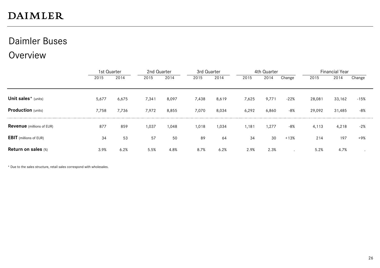#### Daimler Buses

#### **Overview**

|                                  |       | 1st Quarter |       | 2nd Quarter<br>3rd Quarter |       |       |       | 4th Quarter |        | <b>Financial Year</b> |        |        |
|----------------------------------|-------|-------------|-------|----------------------------|-------|-------|-------|-------------|--------|-----------------------|--------|--------|
|                                  | 2015  | 2014        | 2015  | 2014                       | 2015  | 2014  | 2015  | 2014        | Change | 2015                  | 2014   | Change |
|                                  |       |             |       |                            |       |       |       |             |        |                       |        |        |
| Unit sales* (units)              | 5,677 | 6,675       | 7,341 | 8,097                      | 7,438 | 8,619 | 7,625 | 9,771       | $-22%$ | 28,081                | 33,162 | $-15%$ |
| <b>Production</b> (units)        | 7,758 | 7,736       | 7,972 | 8,855                      | 7,070 | 8,034 | 6,292 | 6,860       | -8%    | 29,092                | 31,485 | $-8%$  |
| <b>Revenue</b> (millions of EUR) | 877   | 859         | 1,037 | 1,048                      | 1,018 | 1,034 | 1,181 | 1,277       | -8%    | 4,113                 | 4,218  | $-2%$  |
| <b>EBIT</b> (millions of EUR)    | 34    | 53          | 57    | 50                         | 89    | 64    | 34    | 30          | $+13%$ | 214                   | 197    | $+9%$  |
| <b>Return on sales (%)</b>       | 3.9%  | 6.2%        | 5.5%  | 4.8%                       | 8.7%  | 6.2%  | 2.9%  | 2.3%        |        | 5.2%                  | 4.7%   |        |

\* Due to the sales structure, retail sales correspond with wholesales.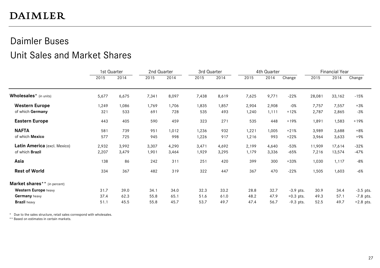# Daimler Buses

#### Unit Sales and Market Shares

|                                          | 1st Quarter |       | 2nd Quarter |       | 3rd Quarter |       | 4th Quarter |        |             | <b>Financial Year</b> |        |             |
|------------------------------------------|-------------|-------|-------------|-------|-------------|-------|-------------|--------|-------------|-----------------------|--------|-------------|
|                                          | 2015        | 2014  | 2015        | 2014  | 2015        | 2014  | 2015        | 2014   | Change      | 2015                  | 2014   | Change      |
| Wholesales <sup>*</sup> (in units)       | 5,677       | 6,675 | 7,341       | 8,097 | 7,438       | 8,619 | 7,625       | 9,771  | $-22%$      | 28,081                | 33,162 | $-15%$      |
| <b>Western Europe</b>                    | 1,249       | 1,086 | 1,769       | 1,706 | 1,835       | 1,857 | 2,904       | 2,908  | $-0%$       | 7,757                 | 7,557  | $+3%$       |
| of which Germany                         | 321         | 533   | 691         | 728   | 535         | 493   | 1,240       | 1, 111 | $+12%$      | 2,787                 | 2,865  | $-3%$       |
| <b>Eastern Europe</b>                    | 443         | 405   | 590         | 459   | 323         | 271   | 535         | 448    | $+19%$      | 1,891                 | 1,583  | $+19%$      |
| <b>NAFTA</b>                             | 581         | 739   | 951         | 1,012 | 1,236       | 932   | 1,221       | 1,005  | $+21%$      | 3,989                 | 3,688  | $+8%$       |
| of which Mexico                          | 577         | 725   | 945         | 998   | 1,226       | 917   | 1,216       | 993    | $+22%$      | 3,964                 | 3,633  | +9%         |
| Latin America (excl. Mexico)             | 2,932       | 3,992 | 3,307       | 4,290 | 3,471       | 4,692 | 2,199       | 4,640  | $-53%$      | 11,909                | 17,614 | $-32%$      |
| of which Brazil                          | 2,207       | 3,479 | 1,901       | 3,464 | 1,929       | 3,295 | 1,179       | 3,336  | $-65%$      | 7,216                 | 13,574 | $-47%$      |
| Asia                                     | 138         | 86    | 242         | 311   | 251         | 420   | 399         | 300    | $+33%$      | 1,030                 | 1,117  | $-8%$       |
| <b>Rest of World</b>                     | 334         | 367   | 482         | 319   | 322         | 447   | 367         | 470    | $-22%$      | 1,505                 | 1,603  | $-6%$       |
| Market shares <sup>**</sup> (in percent) |             |       |             |       |             |       |             |        |             |                       |        |             |
| Western Europe heavy                     | 31.7        | 39.0  | 34.1        | 34.0  | 32.3        | 33.2  | 28.8        | 32.7   | $-3.9$ pts. | 30.9                  | 34.4   | $-3.5$ pts. |
| Germany heavy                            | 37.4        | 62.3  | 55.8        | 65.1  | 51.6        | 61.0  | 48.2        | 47.9   | $+0.3$ pts. | 49.3                  | 57.1   | $-7.8$ pts. |
| <b>Brazil</b> heavy                      | 51.1        | 45.5  | 55.8        | 45.7  | 53.7        | 49.7  | 47.4        | 56.7   | $-9.3$ pts. | 52.5                  | 49.7   | $+2.8$ pts. |

\* Due to the sales structure, retail sales correspond with wholesales.

\*\* Based on estimates in certain markets.